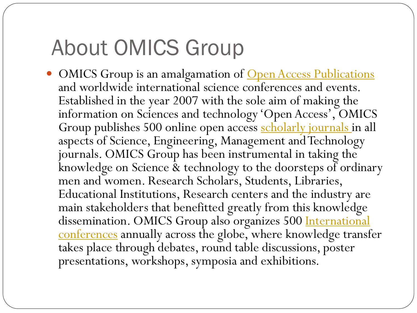## About OMICS Group

• OMICS Group is an amalgamation of **Open Access Publications** and worldwide international science conferences and events. Established in the year 2007 with the sole aim of making the information on Sciences and technology 'Open Access', OMICS Group publishes 500 online open access [scholarly journals i](http://www.omicsonline.org/scholarly-journals.php)n all aspects of Science, Engineering, Management and Technology journals. OMICS Group has been instrumental in taking the knowledge on Science & technology to the doorsteps of ordinary men and women. Research Scholars, Students, Libraries, Educational Institutions, Research centers and the industry are main stakeholders that benefitted greatly from this knowledge dissemination. OMICS Group also organizes 500 International [conferences](http://www.omicsonline.org/international-scientific-conferences/) annually across the globe, where knowledge transfer takes place through debates, round table discussions, poster presentations, workshops, symposia and exhibitions.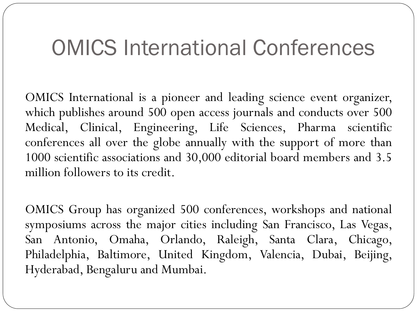#### OMICS International Conferences

OMICS International is a pioneer and leading science event organizer, which publishes around 500 open access journals and conducts over 500 Medical, Clinical, Engineering, Life Sciences, Pharma scientific conferences all over the globe annually with the support of more than 1000 scientific associations and 30,000 editorial board members and 3.5 million followers to its credit.

OMICS Group has organized 500 conferences, workshops and national symposiums across the major cities including San Francisco, Las Vegas, San Antonio, Omaha, Orlando, Raleigh, Santa Clara, Chicago, Philadelphia, Baltimore, United Kingdom, Valencia, Dubai, Beijing, Hyderabad, Bengaluru and Mumbai.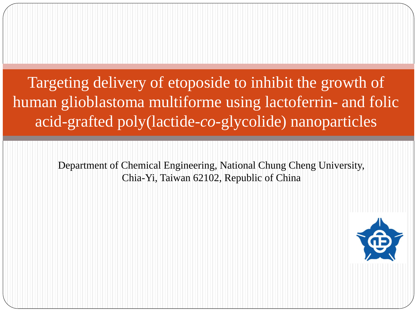Targeting delivery of etoposide to inhibit the growth of human glioblastoma multiforme using lactoferrin- and folic acid-grafted poly(lactide-*co*-glycolide) nanoparticles

> Department of Chemical Engineering, National Chung Cheng University, Chia-Yi, Taiwan 62102, Republic of China

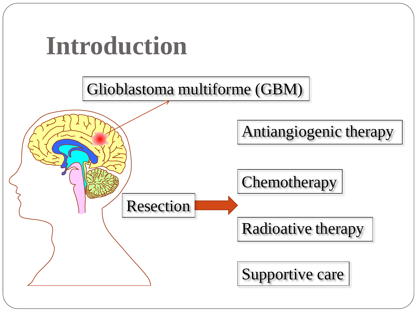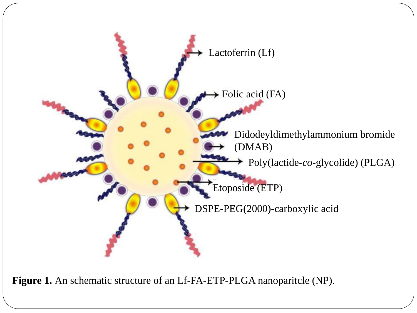

**Figure 1.** An schematic structure of an Lf-FA-ETP-PLGA nanoparitcle (NP).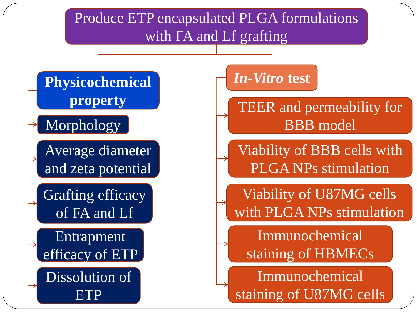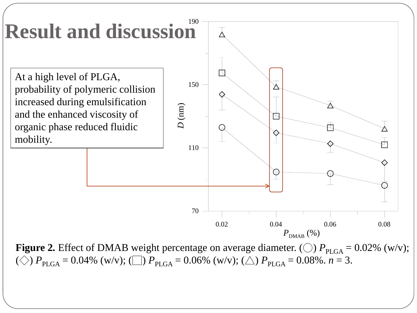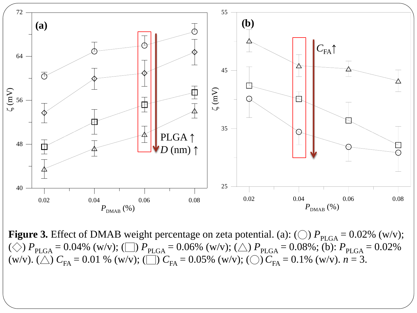

**Figure 3.** Effect of DMAB weight percentage on zeta potential. (a): (○)  $P_{PLGA} = 0.02\%$  (w/v); ( $\Diamond$ )  $P_{PLGA} = 0.04\%$  (w/v); ( $\Box$ )  $P_{PLGA} = 0.06\%$  (w/v); ( $\triangle$ )  $P_{PLGA} = 0.08\%$ ; (b):  $P_{PLGA} = 0.02\%$ (w/v). ( $\triangle$ )  $C_{FA} = 0.01$  % (w/v); ( $\Box$ )  $C_{FA} = 0.05$ % (w/v); ( $\bigcirc$ )  $C_{FA} = 0.1$ % (w/v).  $n = 3$ .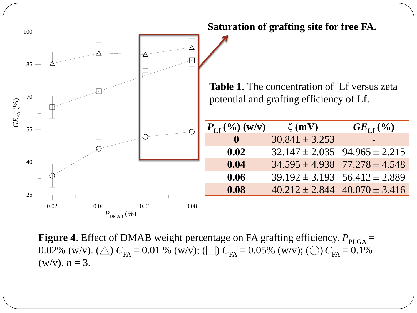

**Figure 4.** Effect of DMAB weight percentage on FA grafting efficiency.  $P_{\text{PLGA}} =$ 0.02% (w/v). ( $\triangle$ )  $C_{FA} = 0.01$  % (w/v); ( $\Box$ )  $C_{FA} = 0.05$ % (w/v); ( $\bigcirc$ )  $C_{FA} = 0.1$ %  $(w/v)$ .  $n = 3$ .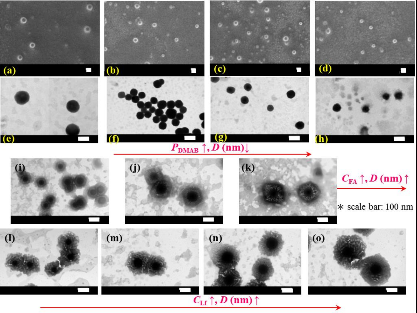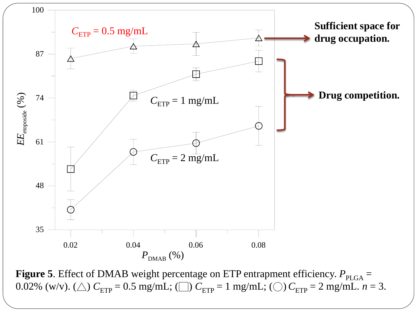

**Figure 5**. Effect of DMAB weight percentage on ETP entrapment efficiency.  $P_{PLGA} =$ 0.02% (w/v). ( $\triangle$ )  $C_{\text{ETP}} = 0.5$  mg/mL; ( $\Box$ )  $C_{\text{ETP}} = 1$  mg/mL; ( $\bigcirc$ )  $C_{\text{ETP}} = 2$  mg/mL.  $n = 3$ .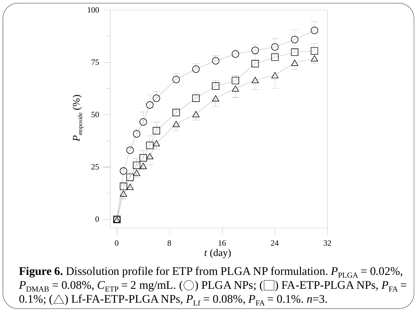

**Figure 6.** Dissolution profile for ETP from PLGA NP formulation.  $P_{\text{PLGA}} = 0.02\%$ ,  $P_{\text{DMAB}} = 0.08\%$ ,  $C_{\text{ETP}} = 2$  mg/mL. (○) PLGA NPs; (□) FA-ETP-PLGA NPs,  $P_{\text{FA}} =$ 0.1%; ( $\triangle$ ) Lf-FA-ETP-PLGA NPs,  $P_{Lf} = 0.08\%$ ,  $P_{FA} = 0.1\%$ . *n*=3.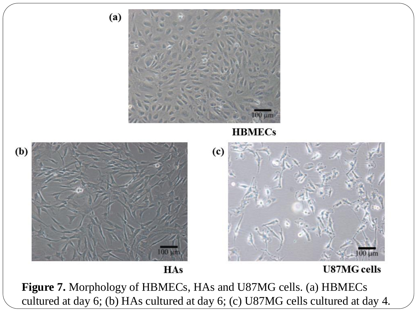

cultured at day 6; (b) HAs cultured at day 6; (c) U87MG cells cultured at day 4.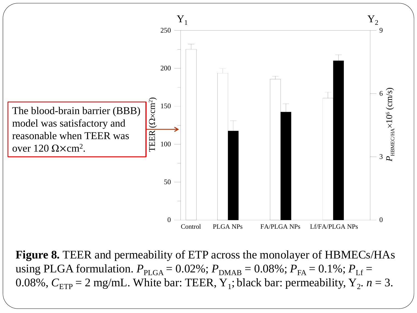

**Figure 8.** TEER and permeability of ETP across the monolayer of HBMECs/HAs using PLGA formulation.  $P_{PLGA} = 0.02\%$ ;  $P_{DMAB} = 0.08\%$ ;  $P_{FA} = 0.1\%$ ;  $P_{Lf} =$ 0.08%,  $C_{\text{ETP}} = 2 \text{ mg/mL}$ . White bar: TEER, Y<sub>1</sub>; black bar: permeability, Y<sub>2</sub>.  $n = 3$ .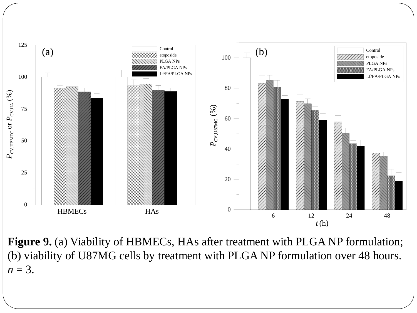

**Figure 9.** (a) Viability of HBMECs, HAs after treatment with PLGA NP formulation; (b) viability of U87MG cells by treatment with PLGA NP formulation over 48 hours.  $n=3$ .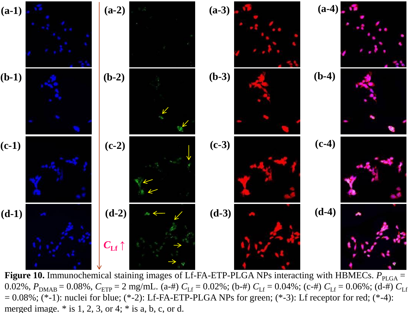

**Figure 10.** Immunochemical staining images of Lf-FA-ETP-PLGA NPs interacting with HBMECs.  $P_{PLGA}$  = 0.02%,  $P_{\text{DMAB}} = 0.08\%$ ,  $C_{\text{ETP}} = 2$  mg/mL. (a-#)  $C_{\text{Lf}} = 0.02\%$ ; (b-#)  $C_{\text{Lf}} = 0.04\%$ ; (c-#)  $C_{\text{Lf}} = 0.06\%$ ; (d-#)  $C_{\text{Lf}}$  $= 0.08\%$ ; (\*-1): nuclei for blue; (\*-2): Lf-FA-ETP-PLGA NPs for green; (\*-3): Lf receptor for red; (\*-4): merged image.  $*$  is 1, 2, 3, or 4;  $*$  is a, b, c, or d.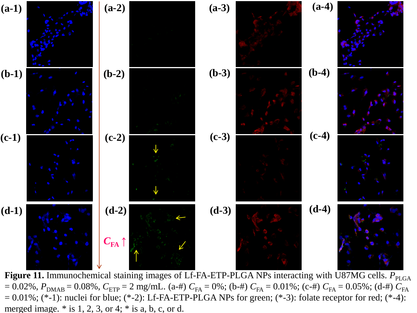

Figure 11. Immunochemical staining images of Lf-FA-ETP-PLGA NPs interacting with U87MG cells.  $P_{\text{PLGA}}$  $= 0.02\%$ ,  $P_{\text{DMAB}} = 0.08\%$ ,  $C_{\text{ETP}} = 2$  mg/mL. (a-#)  $C_{\text{FA}} = 0\%$ ; (b-#)  $C_{\text{FA}} = 0.01\%$ ; (c-#)  $C_{\text{FA}} = 0.05\%$ ; (d-#)  $C_{\text{FA}}$  $= 0.01\%$ ; (\*-1): nuclei for blue; (\*-2): Lf-FA-ETP-PLGA NPs for green; (\*-3): folate receptor for red; (\*-4): merged image.  $*$  is 1, 2, 3, or 4;  $*$  is a, b, c, or d.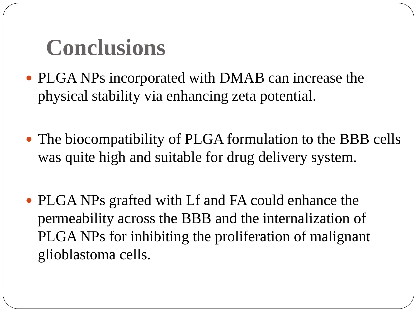# **Conclusions**

- PLGA NPs incorporated with DMAB can increase the physical stability via enhancing zeta potential.
- The biocompatibility of PLGA formulation to the BBB cells was quite high and suitable for drug delivery system.
- PLGA NPs grafted with Lf and FA could enhance the permeability across the BBB and the internalization of PLGA NPs for inhibiting the proliferation of malignant glioblastoma cells.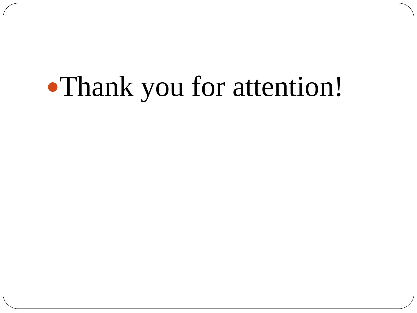# Thank you for attention!